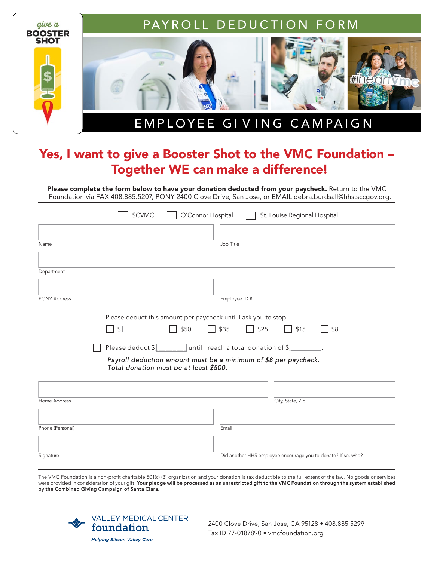

## Yes, I want to give a Booster Shot to the VMC Foundation – Together WE can make a difference!

Please complete the form below to have your donation deducted from your paycheck. Return to the VMC Foundation via FAX 408.885.5207, PONY 2400 Clove Drive, San Jose, or EMAIL debra.burdsall@hhs.sccgov.org.

|                     | <b>SCVMC</b><br>O'Connor Hospital                                                                         | St. Louise Regional Hospital                                  |
|---------------------|-----------------------------------------------------------------------------------------------------------|---------------------------------------------------------------|
|                     |                                                                                                           |                                                               |
| Name                |                                                                                                           | Job Title                                                     |
|                     |                                                                                                           |                                                               |
| Department          |                                                                                                           |                                                               |
|                     |                                                                                                           |                                                               |
| <b>PONY Address</b> |                                                                                                           | Employee ID#                                                  |
|                     | Please deduct this amount per paycheck until I ask you to stop.                                           |                                                               |
|                     | $\Box$ \$50<br>$\left  \frac{1}{2} \right $                                                               | $\Box$ \$35<br>$\Box$ \$25<br>\$15<br>\$8                     |
|                     | Please deduct $\ell_{\text{max}}$ until I reach a total donation of $\ell$                                |                                                               |
|                     | Payroll deduction amount must be a minimum of \$8 per paycheck.<br>Total donation must be at least \$500. |                                                               |
|                     |                                                                                                           |                                                               |
| Home Address        |                                                                                                           | City, State, Zip                                              |
|                     |                                                                                                           |                                                               |
| Phone (Personal)    |                                                                                                           | Email                                                         |
|                     |                                                                                                           |                                                               |
| Signature           |                                                                                                           | Did another HHS employee encourage you to donate? If so, who? |

The VMC Foundation is a non-profit charitable 501(c) (3) organization and your donation is tax deductible to the full extent of the law. No goods or services were provided in consideration of your gift. Your pledge will be processed as an unrestricted gift to the VMC Foundation through the system established by the Combined Giving Campaign of Santa Clara.



2400 Clove Drive, San Jose, CA 95128 • 408.885.5299 Tax ID 77-0187890 • vmcfoundation.org